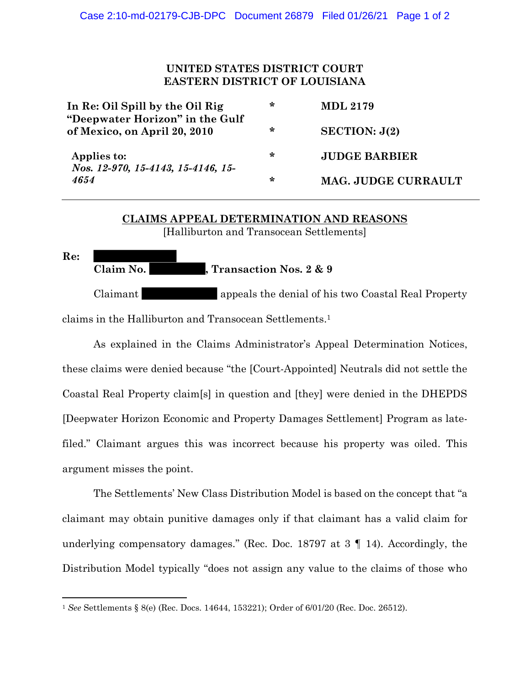## **UNITED STATES DISTRICT COURT EASTERN DISTRICT OF LOUISIANA**

| In Re: Oil Spill by the Oil Rig                                 | ∗ | <b>MDL 2179</b>      |
|-----------------------------------------------------------------|---|----------------------|
| "Deepwater Horizon" in the Gulf<br>of Mexico, on April 20, 2010 | ∗ | SECTION: J(2)        |
| Applies to:<br>Nos. 12-970, 15-4143, 15-4146, 15-<br>4654       | ∗ | <b>JUDGE BARBIER</b> |
|                                                                 | ∗ | MAG. JUDGE CURRAULT  |

## **CLAIMS APPEAL DETERMINATION AND REASONS** [Halliburton and Transocean Settlements]

**Re:** Claim No. **Transaction Nos. 2 & 9** Claimant appeals the denial of his two Coastal Real Property claims in the Halliburton and Transocean Settlements. 1

As explained in the Claims Administrator's Appeal Determination Notices, these claims were denied because "the [Court-Appointed] Neutrals did not settle the Coastal Real Property claim[s] in question and [they] were denied in the DHEPDS [Deepwater Horizon Economic and Property Damages Settlement] Program as latefiled." Claimant argues this was incorrect because his property was oiled. This argument misses the point.

The Settlements' New Class Distribution Model is based on the concept that "a claimant may obtain punitive damages only if that claimant has a valid claim for underlying compensatory damages." (Rec. Doc. 18797 at 3 ¶ 14). Accordingly, the Distribution Model typically "does not assign any value to the claims of those who

<sup>1</sup> *See* Settlements § 8(e) (Rec. Docs. 14644, 153221); Order of 6/01/20 (Rec. Doc. 26512).